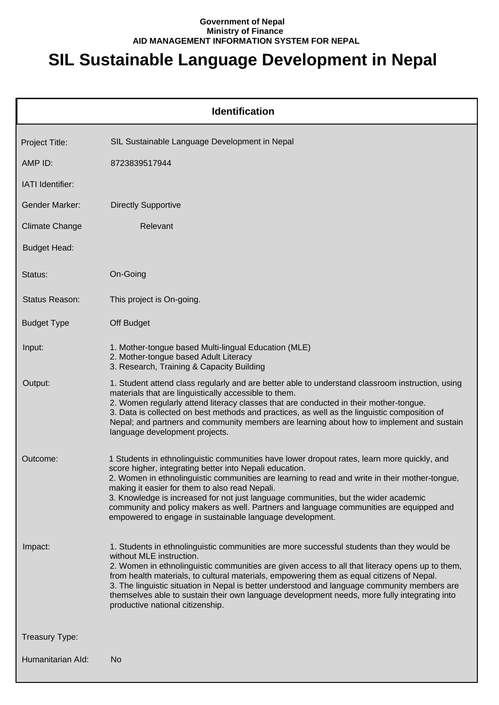## **Government of Nepal Ministry of Finance AID MANAGEMENT INFORMATION SYSTEM FOR NEPAL**

## **SIL Sustainable Language Development in Nepal**

| <b>Identification</b> |                                                                                                                                                                                                                                                                                                                                                                                                                                                                                                                                                            |  |  |
|-----------------------|------------------------------------------------------------------------------------------------------------------------------------------------------------------------------------------------------------------------------------------------------------------------------------------------------------------------------------------------------------------------------------------------------------------------------------------------------------------------------------------------------------------------------------------------------------|--|--|
| Project Title:        | SIL Sustainable Language Development in Nepal                                                                                                                                                                                                                                                                                                                                                                                                                                                                                                              |  |  |
| AMP ID:               | 8723839517944                                                                                                                                                                                                                                                                                                                                                                                                                                                                                                                                              |  |  |
| IATI Identifier:      |                                                                                                                                                                                                                                                                                                                                                                                                                                                                                                                                                            |  |  |
| Gender Marker:        | <b>Directly Supportive</b>                                                                                                                                                                                                                                                                                                                                                                                                                                                                                                                                 |  |  |
| <b>Climate Change</b> | Relevant                                                                                                                                                                                                                                                                                                                                                                                                                                                                                                                                                   |  |  |
| <b>Budget Head:</b>   |                                                                                                                                                                                                                                                                                                                                                                                                                                                                                                                                                            |  |  |
| Status:               | On-Going                                                                                                                                                                                                                                                                                                                                                                                                                                                                                                                                                   |  |  |
| Status Reason:        | This project is On-going.                                                                                                                                                                                                                                                                                                                                                                                                                                                                                                                                  |  |  |
| <b>Budget Type</b>    | Off Budget                                                                                                                                                                                                                                                                                                                                                                                                                                                                                                                                                 |  |  |
| Input:                | 1. Mother-tongue based Multi-lingual Education (MLE)<br>2. Mother-tongue based Adult Literacy<br>3. Research, Training & Capacity Building                                                                                                                                                                                                                                                                                                                                                                                                                 |  |  |
| Output:               | 1. Student attend class regularly and are better able to understand classroom instruction, using<br>materials that are linguistically accessible to them.<br>2. Women regularly attend literacy classes that are conducted in their mother-tongue.<br>3. Data is collected on best methods and practices, as well as the linguistic composition of<br>Nepal; and partners and community members are learning about how to implement and sustain<br>language development projects.                                                                          |  |  |
| Outcome:              | 1 Students in ethnolinguistic communities have lower dropout rates, learn more quickly, and<br>score higher, integrating better into Nepali education.<br>2. Women in ethnolinguistic communities are learning to read and write in their mother-tongue,<br>making it easier for them to also read Nepali.<br>3. Knowledge is increased for not just language communities, but the wider academic<br>community and policy makers as well. Partners and language communities are equipped and<br>empowered to engage in sustainable language development.   |  |  |
| Impact:               | 1. Students in ethnolinguistic communities are more successful students than they would be<br>without MLE instruction.<br>2. Women in ethnolinguistic communities are given access to all that literacy opens up to them,<br>from health materials, to cultural materials, empowering them as equal citizens of Nepal.<br>3. The linguistic situation in Nepal is better understood and language community members are<br>themselves able to sustain their own language development needs, more fully integrating into<br>productive national citizenship. |  |  |
| Treasury Type:        |                                                                                                                                                                                                                                                                                                                                                                                                                                                                                                                                                            |  |  |
| Humanitarian Ald:     | No                                                                                                                                                                                                                                                                                                                                                                                                                                                                                                                                                         |  |  |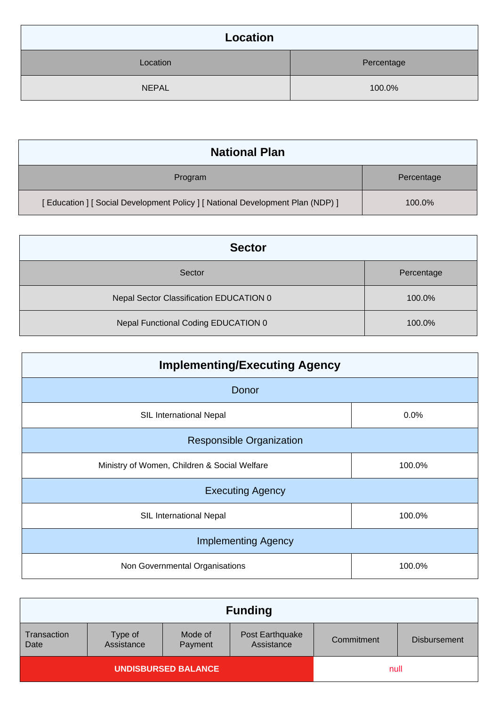| Location     |            |  |
|--------------|------------|--|
| Location     | Percentage |  |
| <b>NEPAL</b> | 100.0%     |  |

| <b>National Plan</b>                                                            |            |
|---------------------------------------------------------------------------------|------------|
| Program                                                                         | Percentage |
| [ Education ] [ Social Development Policy ] [ National Development Plan (NDP) ] | 100.0%     |

| <b>Sector</b>                           |            |  |
|-----------------------------------------|------------|--|
| Sector                                  | Percentage |  |
| Nepal Sector Classification EDUCATION 0 | 100.0%     |  |
| Nepal Functional Coding EDUCATION 0     | 100.0%     |  |

| <b>Implementing/Executing Agency</b>         |        |  |
|----------------------------------------------|--------|--|
| Donor                                        |        |  |
| SIL International Nepal                      | 0.0%   |  |
| <b>Responsible Organization</b>              |        |  |
| Ministry of Women, Children & Social Welfare | 100.0% |  |
| <b>Executing Agency</b>                      |        |  |
| <b>SIL International Nepal</b>               | 100.0% |  |
| <b>Implementing Agency</b>                   |        |  |
| Non Governmental Organisations               | 100.0% |  |

| <b>Funding</b>             |                       |                    |                               |            |                     |
|----------------------------|-----------------------|--------------------|-------------------------------|------------|---------------------|
| Transaction<br>Date        | Type of<br>Assistance | Mode of<br>Payment | Post Earthquake<br>Assistance | Commitment | <b>Disbursement</b> |
| <b>UNDISBURSED BALANCE</b> |                       |                    | null                          |            |                     |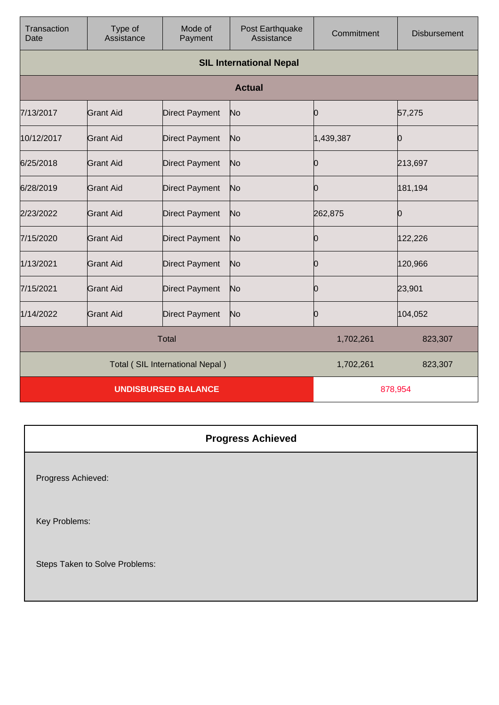| Transaction<br>Date             | Type of<br>Assistance          | Mode of<br>Payment    | Post Earthquake<br>Assistance | Commitment | <b>Disbursement</b> |
|---------------------------------|--------------------------------|-----------------------|-------------------------------|------------|---------------------|
|                                 | <b>SIL International Nepal</b> |                       |                               |            |                     |
|                                 |                                |                       | <b>Actual</b>                 |            |                     |
| 7/13/2017                       | <b>Grant Aid</b>               | <b>Direct Payment</b> | No                            | 0          | 57,275              |
| 10/12/2017                      | <b>Grant Aid</b>               | <b>Direct Payment</b> | No                            | 1,439,387  | 10                  |
| 6/25/2018                       | Grant Aid                      | <b>Direct Payment</b> | No                            | 0          | 213,697             |
| 6/28/2019                       | <b>Grant Aid</b>               | <b>Direct Payment</b> | N <sub>o</sub>                | 0          | 181,194             |
| 2/23/2022                       | <b>Grant Aid</b>               | <b>Direct Payment</b> | No                            | 262,875    | Ю                   |
| 7/15/2020                       | <b>Grant Aid</b>               | <b>Direct Payment</b> | No                            | 0          | 122,226             |
| 1/13/2021                       | <b>Grant Aid</b>               | <b>Direct Payment</b> | No                            | 0          | 120,966             |
| 7/15/2021                       | <b>Grant Aid</b>               | <b>Direct Payment</b> | No                            | Ю          | 23,901              |
| 1/14/2022                       | <b>Grant Aid</b>               | <b>Direct Payment</b> | No                            | 0          | 104,052             |
| <b>Total</b>                    |                                |                       | 1,702,261                     | 823,307    |                     |
| Total (SIL International Nepal) |                                |                       | 1,702,261                     | 823,307    |                     |
| <b>UNDISBURSED BALANCE</b>      |                                |                       | 878,954                       |            |                     |

| <b>Progress Achieved</b>       |
|--------------------------------|
| Progress Achieved:             |
| Key Problems:                  |
| Steps Taken to Solve Problems: |